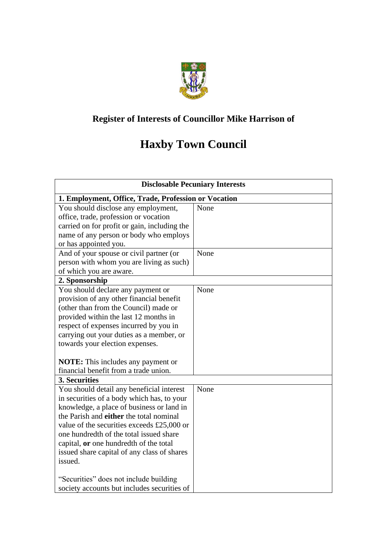

## **Register of Interests of Councillor Mike Harrison of**

## **Haxby Town Council**

| <b>Disclosable Pecuniary Interests</b>                 |      |  |  |
|--------------------------------------------------------|------|--|--|
| 1. Employment, Office, Trade, Profession or Vocation   |      |  |  |
| You should disclose any employment,                    | None |  |  |
| office, trade, profession or vocation                  |      |  |  |
| carried on for profit or gain, including the           |      |  |  |
| name of any person or body who employs                 |      |  |  |
| or has appointed you.                                  |      |  |  |
| And of your spouse or civil partner (or                | None |  |  |
| person with whom you are living as such)               |      |  |  |
| of which you are aware.                                |      |  |  |
| 2. Sponsorship                                         |      |  |  |
| You should declare any payment or                      | None |  |  |
| provision of any other financial benefit               |      |  |  |
| (other than from the Council) made or                  |      |  |  |
| provided within the last 12 months in                  |      |  |  |
| respect of expenses incurred by you in                 |      |  |  |
| carrying out your duties as a member, or               |      |  |  |
| towards your election expenses.                        |      |  |  |
|                                                        |      |  |  |
| <b>NOTE:</b> This includes any payment or              |      |  |  |
| financial benefit from a trade union.                  |      |  |  |
| 3. Securities                                          |      |  |  |
| You should detail any beneficial interest              | None |  |  |
| in securities of a body which has, to your             |      |  |  |
| knowledge, a place of business or land in              |      |  |  |
| the Parish and either the total nominal                |      |  |  |
| value of the securities exceeds £25,000 or             |      |  |  |
| one hundredth of the total issued share                |      |  |  |
| capital, or one hundredth of the total                 |      |  |  |
| issued share capital of any class of shares<br>issued. |      |  |  |
|                                                        |      |  |  |
| "Securities" does not include building                 |      |  |  |
| society accounts but includes securities of            |      |  |  |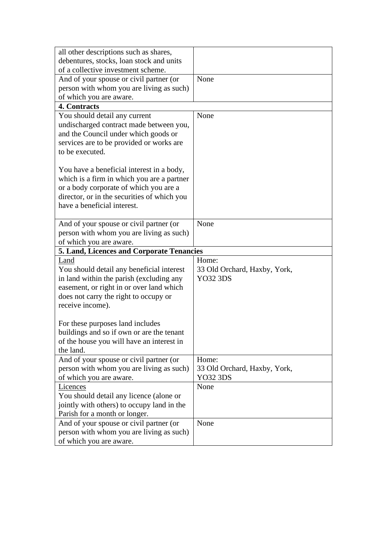| all other descriptions such as shares,                              |                              |
|---------------------------------------------------------------------|------------------------------|
|                                                                     |                              |
| debentures, stocks, loan stock and units                            |                              |
| of a collective investment scheme.                                  |                              |
| And of your spouse or civil partner (or                             | None                         |
| person with whom you are living as such)                            |                              |
| of which you are aware.                                             |                              |
| 4. Contracts                                                        |                              |
| You should detail any current                                       | None                         |
| undischarged contract made between you,                             |                              |
| and the Council under which goods or                                |                              |
| services are to be provided or works are                            |                              |
| to be executed.                                                     |                              |
|                                                                     |                              |
| You have a beneficial interest in a body,                           |                              |
| which is a firm in which you are a partner                          |                              |
| or a body corporate of which you are a                              |                              |
| director, or in the securities of which you                         |                              |
| have a beneficial interest.                                         |                              |
|                                                                     |                              |
|                                                                     | None                         |
| And of your spouse or civil partner (or                             |                              |
| person with whom you are living as such)                            |                              |
| of which you are aware.                                             |                              |
|                                                                     |                              |
| 5. Land, Licences and Corporate Tenancies                           |                              |
| Land                                                                | Home:                        |
| You should detail any beneficial interest                           | 33 Old Orchard, Haxby, York, |
| in land within the parish (excluding any                            | <b>YO32 3DS</b>              |
| easement, or right in or over land which                            |                              |
| does not carry the right to occupy or                               |                              |
| receive income).                                                    |                              |
|                                                                     |                              |
| For these purposes land includes                                    |                              |
|                                                                     |                              |
| buildings and so if own or are the tenant                           |                              |
| of the house you will have an interest in<br>the land.              |                              |
|                                                                     |                              |
| And of your spouse or civil partner (or                             | Home:                        |
| person with whom you are living as such)                            | 33 Old Orchard, Haxby, York, |
| of which you are aware.                                             | <b>YO32 3DS</b>              |
| <b>Licences</b>                                                     | None                         |
| You should detail any licence (alone or                             |                              |
| jointly with others) to occupy land in the                          |                              |
| Parish for a month or longer.                                       |                              |
| And of your spouse or civil partner (or                             | None                         |
| person with whom you are living as such)<br>of which you are aware. |                              |